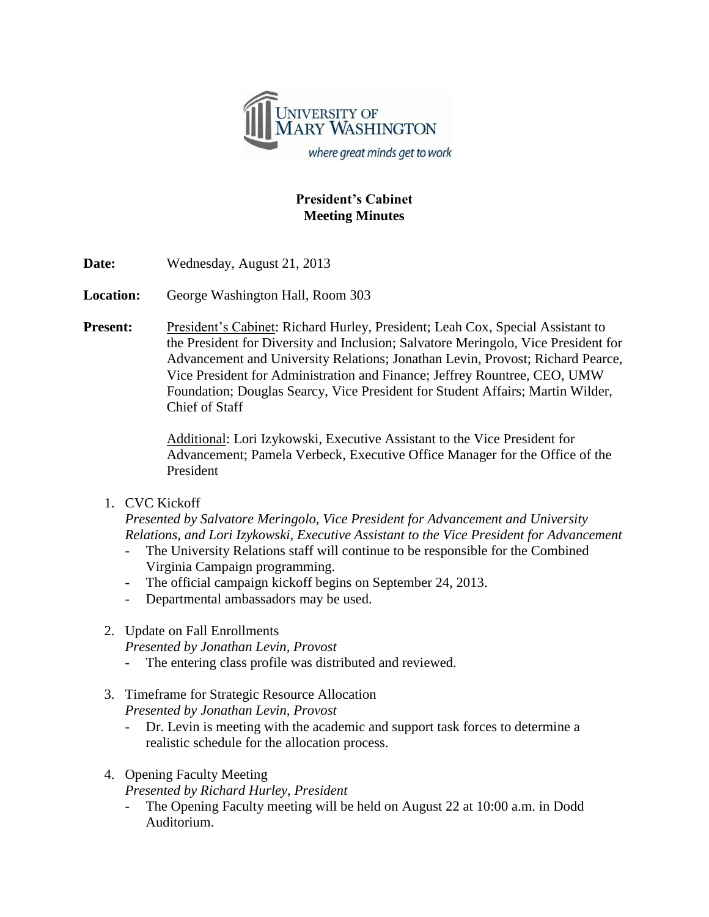

## **President's Cabinet Meeting Minutes**

**Date:** Wednesday, August 21, 2013

**Location:** George Washington Hall, Room 303

**Present:** President's Cabinet: Richard Hurley, President; Leah Cox, Special Assistant to the President for Diversity and Inclusion; Salvatore Meringolo, Vice President for Advancement and University Relations; Jonathan Levin, Provost; Richard Pearce, Vice President for Administration and Finance; Jeffrey Rountree, CEO, UMW Foundation; Douglas Searcy, Vice President for Student Affairs; Martin Wilder, Chief of Staff

> Additional: Lori Izykowski, Executive Assistant to the Vice President for Advancement; Pamela Verbeck, Executive Office Manager for the Office of the President

1. CVC Kickoff

*Presented by Salvatore Meringolo, Vice President for Advancement and University Relations, and Lori Izykowski, Executive Assistant to the Vice President for Advancement*

- The University Relations staff will continue to be responsible for the Combined Virginia Campaign programming.
- The official campaign kickoff begins on September 24, 2013.
- Departmental ambassadors may be used.
- 2. Update on Fall Enrollments

*Presented by Jonathan Levin, Provost*

- The entering class profile was distributed and reviewed.
- 3. Timeframe for Strategic Resource Allocation

*Presented by Jonathan Levin, Provost*

- Dr. Levin is meeting with the academic and support task forces to determine a realistic schedule for the allocation process.
- 4. Opening Faculty Meeting

*Presented by Richard Hurley, President*

The Opening Faculty meeting will be held on August 22 at 10:00 a.m. in Dodd Auditorium.